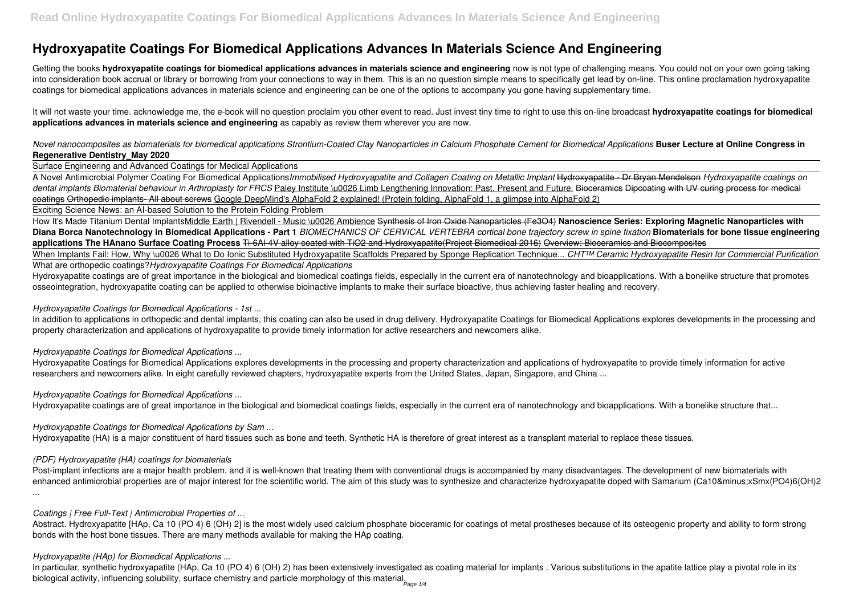# **Hydroxyapatite Coatings For Biomedical Applications Advances In Materials Science And Engineering**

Getting the books **hydroxyapatite coatings for biomedical applications advances in materials science and engineering now is not type of challenging means. You could not on your own going taking** into consideration book accrual or library or borrowing from your connections to way in them. This is an no question simple means to specifically get lead by on-line. This online proclamation hydroxyapatite coatings for biomedical applications advances in materials science and engineering can be one of the options to accompany you gone having supplementary time.

It will not waste your time. acknowledge me, the e-book will no question proclaim you other event to read. Just invest tiny time to right to use this on-line broadcast **hydroxyapatite coatings for biomedical applications advances in materials science and engineering** as capably as review them wherever you are now.

*Novel nanocomposites as biomaterials for biomedical applications Strontium-Coated Clay Nanoparticles in Calcium Phosphate Cement for Biomedical Applications* **Buser Lecture at Online Congress in Regenerative Dentistry\_May 2020**

Surface Engineering and Advanced Coatings for Medical Applications

A Novel Antimicrobial Polymer Coating For Biomedical Applications*Immobilised Hydroxyapatite and Collagen Coating on Metallic Implant* Hydroxyapatite - Dr Bryan Mendelson *Hydroxyapatite coatings on* dental implants Biomaterial behaviour in Arthroplasty for FRCS Paley Institute \u0026 Limb Lengthening Innovation: Past, Present and Future. Bioceramics Dipcoating with UV curing process for medical coatings Orthopedic implants- All about screws Google DeepMind's AlphaFold 2 explained! (Protein folding, AlphaFold 1, a glimpse into AlphaFold 2) Exciting Science News: an AI-based Solution to the Protein Folding Problem

How It's Made Titanium Dental ImplantsMiddle Earth | Rivendell - Music \u0026 Ambience Synthesis of Iron Oxide Nanoparticles (Fe3O4) Nanoscience Series: Exploring Magnetic Nanoparticles with **Diana Borca Nanotechnology in Biomedical Applications - Part 1** *BIOMECHANICS OF CERVICAL VERTEBRA cortical bone trajectory screw in spine fixation* **Biomaterials for bone tissue engineering applications The HAnano Surface Coating Process** Ti-6Al-4V alloy coated with TiO2 and Hydroxyapatite(Project Biomedical 2016) Overview: Bioceramics and Biocomposites When Implants Fail: How, Why \u0026 What to Do Ionic Substituted Hydroxyapatite Scaffolds Prepared by Sponge Replication Technique... *CHT<sup>TM</sup> Ceramic Hydroxyapatite Resin for Commercial Purification* 

In addition to applications in orthopedic and dental implants, this coating can also be used in drug delivery. Hydroxyapatite Coatings for Biomedical Applications explores developments in the processing and property characterization and applications of hydroxyapatite to provide timely information for active researchers and newcomers alike.

Post-implant infections are a major health problem, and it is well-known that treating them with conventional drugs is accompanied by many disadvantages. The development of new biomaterials with enhanced antimicrobial properties are of major interest for the scientific world. The aim of this study was to synthesize and characterize hydroxyapatite doped with Samarium (Ca10−xSmx(PO4)6(OH)2 ...

Abstract. Hydroxyapatite [HAp, Ca 10 (PO 4) 6 (OH) 2] is the most widely used calcium phosphate bioceramic for coatings of metal prostheses because of its osteogenic property and ability to form strong bonds with the host bone tissues. There are many methods available for making the HAp coating.

What are orthopedic coatings?*Hydroxyapatite Coatings For Biomedical Applications*

Hydroxyapatite coatings are of great importance in the biological and biomedical coatings fields, especially in the current era of nanotechnology and bioapplications. With a bonelike structure that promotes osseointegration, hydroxyapatite coating can be applied to otherwise bioinactive implants to make their surface bioactive, thus achieving faster healing and recovery.

#### *Hydroxyapatite Coatings for Biomedical Applications - 1st ...*

#### *Hydroxyapatite Coatings for Biomedical Applications ...*

Hydroxyapatite Coatings for Biomedical Applications explores developments in the processing and property characterization and applications of hydroxyapatite to provide timely information for active researchers and newcomers alike. In eight carefully reviewed chapters, hydroxyapatite experts from the United States, Japan, Singapore, and China ...

#### *Hydroxyapatite Coatings for Biomedical Applications ...*

Hydroxyapatite coatings are of great importance in the biological and biomedical coatings fields, especially in the current era of nanotechnology and bioapplications. With a bonelike structure that...

#### *Hydroxyapatite Coatings for Biomedical Applications by Sam ...*

Hydroxyapatite (HA) is a major constituent of hard tissues such as bone and teeth. Synthetic HA is therefore of great interest as a transplant material to replace these tissues.

#### *(PDF) Hydroxyapatite (HA) coatings for biomaterials*

#### *Coatings | Free Full-Text | Antimicrobial Properties of ...*

#### *Hydroxyapatite (HAp) for Biomedical Applications ...*

In particular, synthetic hydroxyapatite (HAp, Ca 10 (PO 4) 6 (OH) 2) has been extensively investigated as coating material for implants . Various substitutions in the apatite lattice play a pivotal role in its biological activity, influencing solubility, surface chemistry and particle morphology of this material. Page 1/4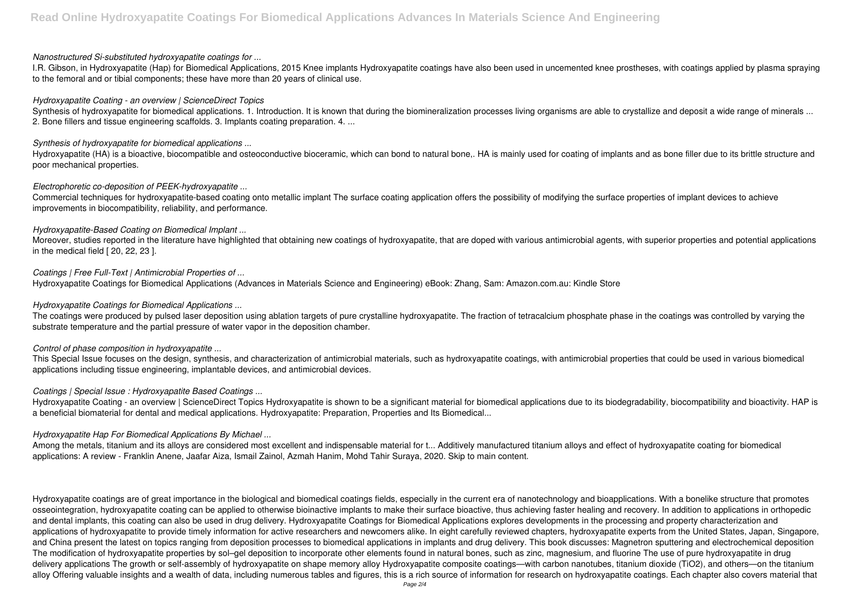#### *Nanostructured Si-substituted hydroxyapatite coatings for ...*

I.R. Gibson, in Hydroxyapatite (Hap) for Biomedical Applications, 2015 Knee implants Hydroxyapatite coatings have also been used in uncemented knee prostheses, with coatings applied by plasma spraying to the femoral and or tibial components; these have more than 20 years of clinical use.

Synthesis of hydroxyapatite for biomedical applications. 1. Introduction. It is known that during the biomineralization processes living organisms are able to crystallize and deposit a wide range of minerals ... 2. Bone fillers and tissue engineering scaffolds. 3. Implants coating preparation. 4. ...

#### *Hydroxyapatite Coating - an overview | ScienceDirect Topics*

Hydroxyapatite (HA) is a bioactive, biocompatible and osteoconductive bioceramic, which can bond to natural bone,. HA is mainly used for coating of implants and as bone filler due to its brittle structure and poor mechanical properties.

### *Synthesis of hydroxyapatite for biomedical applications ...*

### *Electrophoretic co-deposition of PEEK-hydroxyapatite ...*

The coatings were produced by pulsed laser deposition using ablation targets of pure crystalline hydroxyapatite. The fraction of tetracalcium phosphate phase in the coatings was controlled by varying the substrate temperature and the partial pressure of water vapor in the deposition chamber.

Commercial techniques for hydroxyapatite-based coating onto metallic implant The surface coating application offers the possibility of modifying the surface properties of implant devices to achieve improvements in biocompatibility, reliability, and performance.

### *Hydroxyapatite-Based Coating on Biomedical Implant ...*

Hydroxyapatite Coating - an overview | ScienceDirect Topics Hydroxyapatite is shown to be a significant material for biomedical applications due to its biodegradability, biocompatibility and bioactivity. HAP is a beneficial biomaterial for dental and medical applications. Hydroxyapatite: Preparation, Properties and Its Biomedical...

Moreover, studies reported in the literature have highlighted that obtaining new coatings of hydroxyapatite, that are doped with various antimicrobial agents, with superior properties and potential applications in the medical field [ 20, 22, 23 ].

Among the metals, titanium and its alloys are considered most excellent and indispensable material for t... Additively manufactured titanium alloys and effect of hydroxyapatite coating for biomedical applications: A review - Franklin Anene, Jaafar Aiza, Ismail Zainol, Azmah Hanim, Mohd Tahir Suraya, 2020. Skip to main content.

### *Coatings | Free Full-Text | Antimicrobial Properties of ...*

Hydroxyapatite Coatings for Biomedical Applications (Advances in Materials Science and Engineering) eBook: Zhang, Sam: Amazon.com.au: Kindle Store

#### *Hydroxyapatite Coatings for Biomedical Applications ...*

#### *Control of phase composition in hydroxyapatite ...*

This Special Issue focuses on the design, synthesis, and characterization of antimicrobial materials, such as hydroxyapatite coatings, with antimicrobial properties that could be used in various biomedical applications including tissue engineering, implantable devices, and antimicrobial devices.

# *Coatings | Special Issue : Hydroxyapatite Based Coatings ...*

# *Hydroxyapatite Hap For Biomedical Applications By Michael ...*

Hydroxyapatite coatings are of great importance in the biological and biomedical coatings fields, especially in the current era of nanotechnology and bioapplications. With a bonelike structure that promotes osseointegration, hydroxyapatite coating can be applied to otherwise bioinactive implants to make their surface bioactive, thus achieving faster healing and recovery. In addition to applications in orthopedic and dental implants, this coating can also be used in drug delivery. Hydroxyapatite Coatings for Biomedical Applications explores developments in the processing and property characterization and applications of hydroxyapatite to provide timely information for active researchers and newcomers alike. In eight carefully reviewed chapters, hydroxyapatite experts from the United States, Japan, Singapore, and China present the latest on topics ranging from deposition processes to biomedical applications in implants and drug delivery. This book discusses: Magnetron sputtering and electrochemical deposition The modification of hydroxyapatite properties by sol–gel deposition to incorporate other elements found in natural bones, such as zinc, magnesium, and fluorine The use of pure hydroxyapatite in drug delivery applications The growth or self-assembly of hydroxyapatite on shape memory alloy Hydroxyapatite composite coatings—with carbon nanotubes, titanium dioxide (TiO2), and others—on the titanium alloy Offering valuable insights and a wealth of data, including numerous tables and figures, this is a rich source of information for research on hydroxyapatite coatings. Each chapter also covers material that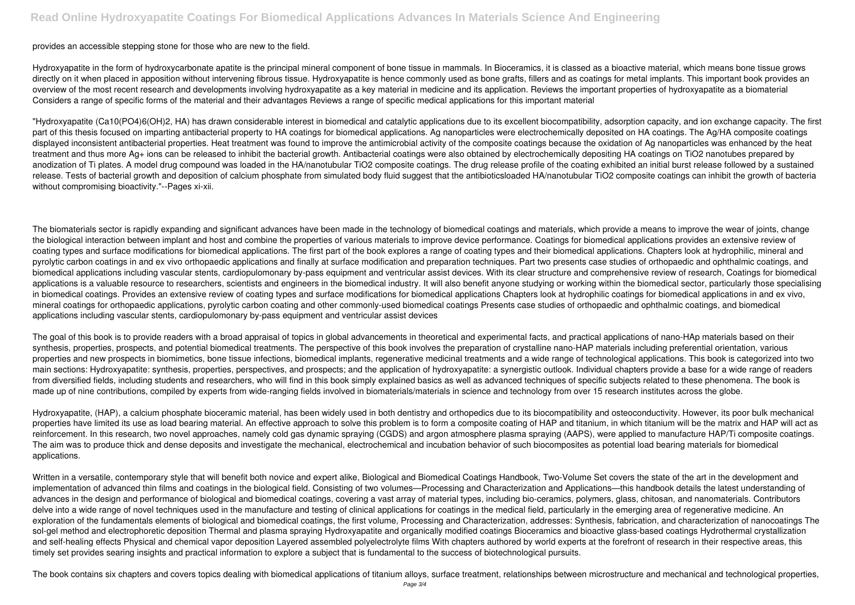#### provides an accessible stepping stone for those who are new to the field.

Hydroxyapatite in the form of hydroxycarbonate apatite is the principal mineral component of bone tissue in mammals. In Bioceramics, it is classed as a bioactive material, which means bone tissue grows directly on it when placed in apposition without intervening fibrous tissue. Hydroxyapatite is hence commonly used as bone grafts, fillers and as coatings for metal implants. This important book provides an overview of the most recent research and developments involving hydroxyapatite as a key material in medicine and its application. Reviews the important properties of hydroxyapatite as a biomaterial Considers a range of specific forms of the material and their advantages Reviews a range of specific medical applications for this important material

"Hydroxyapatite (Ca10(PO4)6(OH)2, HA) has drawn considerable interest in biomedical and catalytic applications due to its excellent biocompatibility, adsorption capacity, and ion exchange capacity. The first part of this thesis focused on imparting antibacterial property to HA coatings for biomedical applications. Ag nanoparticles were electrochemically deposited on HA coatings. The Ag/HA composite coatings displayed inconsistent antibacterial properties. Heat treatment was found to improve the antimicrobial activity of the composite coatings because the oxidation of Ag nanoparticles was enhanced by the heat treatment and thus more Ag+ ions can be released to inhibit the bacterial growth. Antibacterial coatings were also obtained by electrochemically depositing HA coatings on TiO2 nanotubes prepared by anodization of Ti plates. A model drug compound was loaded in the HA/nanotubular TiO2 composite coatings. The drug release profile of the coating exhibited an initial burst release followed by a sustained release. Tests of bacterial growth and deposition of calcium phosphate from simulated body fluid suggest that the antibioticsloaded HA/nanotubular TiO2 composite coatings can inhibit the growth of bacteria without compromising bioactivity."--Pages xi-xii.

The goal of this book is to provide readers with a broad appraisal of topics in global advancements in theoretical and experimental facts, and practical applications of nano-HAp materials based on their synthesis, properties, prospects, and potential biomedical treatments. The perspective of this book involves the preparation of crystalline nano-HAP materials including preferential orientation, various properties and new prospects in biomimetics, bone tissue infections, biomedical implants, regenerative medicinal treatments and a wide range of technological applications. This book is categorized into two main sections: Hydroxyapatite: synthesis, properties, perspectives, and prospects; and the application of hydroxyapatite: a synergistic outlook. Individual chapters provide a base for a wide range of readers from diversified fields, including students and researchers, who will find in this book simply explained basics as well as advanced techniques of specific subjects related to these phenomena. The book is made up of nine contributions, compiled by experts from wide-ranging fields involved in biomaterials/materials in science and technology from over 15 research institutes across the globe.

The biomaterials sector is rapidly expanding and significant advances have been made in the technology of biomedical coatings and materials, which provide a means to improve the wear of joints, change the biological interaction between implant and host and combine the properties of various materials to improve device performance. Coatings for biomedical applications provides an extensive review of coating types and surface modifications for biomedical applications. The first part of the book explores a range of coating types and their biomedical applications. Chapters look at hydrophilic, mineral and pyrolytic carbon coatings in and ex vivo orthopaedic applications and finally at surface modification and preparation techniques. Part two presents case studies of orthopaedic and ophthalmic coatings, and biomedical applications including vascular stents, cardiopulomonary by-pass equipment and ventricular assist devices. With its clear structure and comprehensive review of research, Coatings for biomedical applications is a valuable resource to researchers, scientists and engineers in the biomedical industry. It will also benefit anyone studying or working within the biomedical sector, particularly those specialising in biomedical coatings. Provides an extensive review of coating types and surface modifications for biomedical applications Chapters look at hydrophilic coatings for biomedical applications in and ex vivo, mineral coatings for orthopaedic applications, pyrolytic carbon coating and other commonly-used biomedical coatings Presents case studies of orthopaedic and ophthalmic coatings, and biomedical applications including vascular stents, cardiopulomonary by-pass equipment and ventricular assist devices

Written in a versatile, contemporary style that will benefit both novice and expert alike, Biological and Biomedical Coatings Handbook, Two-Volume Set covers the state of the art in the development and implementation of advanced thin films and coatings in the biological field. Consisting of two volumes—Processing and Characterization and Applications—this handbook details the latest understanding of advances in the design and performance of biological and biomedical coatings, covering a vast array of material types, including bio-ceramics, polymers, glass, chitosan, and nanomaterials. Contributors delve into a wide range of novel techniques used in the manufacture and testing of clinical applications for coatings in the medical field, particularly in the emerging area of regenerative medicine. An exploration of the fundamentals elements of biological and biomedical coatings, the first volume, Processing and Characterization, addresses: Synthesis, fabrication, and characterization of nanocoatings The sol-gel method and electrophoretic deposition Thermal and plasma spraying Hydroxyapatite and organically modified coatings Bioceramics and bioactive glass-based coatings Hydrothermal crystallization and self-healing effects Physical and chemical vapor deposition Layered assembled polyelectrolyte films With chapters authored by world experts at the forefront of research in their respective areas, this timely set provides searing insights and practical information to explore a subject that is fundamental to the success of biotechnological pursuits.

Hydroxyapatite, (HAP), a calcium phosphate bioceramic material, has been widely used in both dentistry and orthopedics due to its biocompatibility and osteoconductivity. However, its poor bulk mechanical properties have limited its use as load bearing material. An effective approach to solve this problem is to form a composite coating of HAP and titanium, in which titanium will be the matrix and HAP will act as reinforcement. In this research, two novel approaches, namely cold gas dynamic spraying (CGDS) and argon atmosphere plasma spraying (AAPS), were applied to manufacture HAP/Ti composite coatings. The aim was to produce thick and dense deposits and investigate the mechanical, electrochemical and incubation behavior of such biocomposites as potential load bearing materials for biomedical applications.

The book contains six chapters and covers topics dealing with biomedical applications of titanium alloys, surface treatment, relationships between microstructure and mechanical and technological properties,